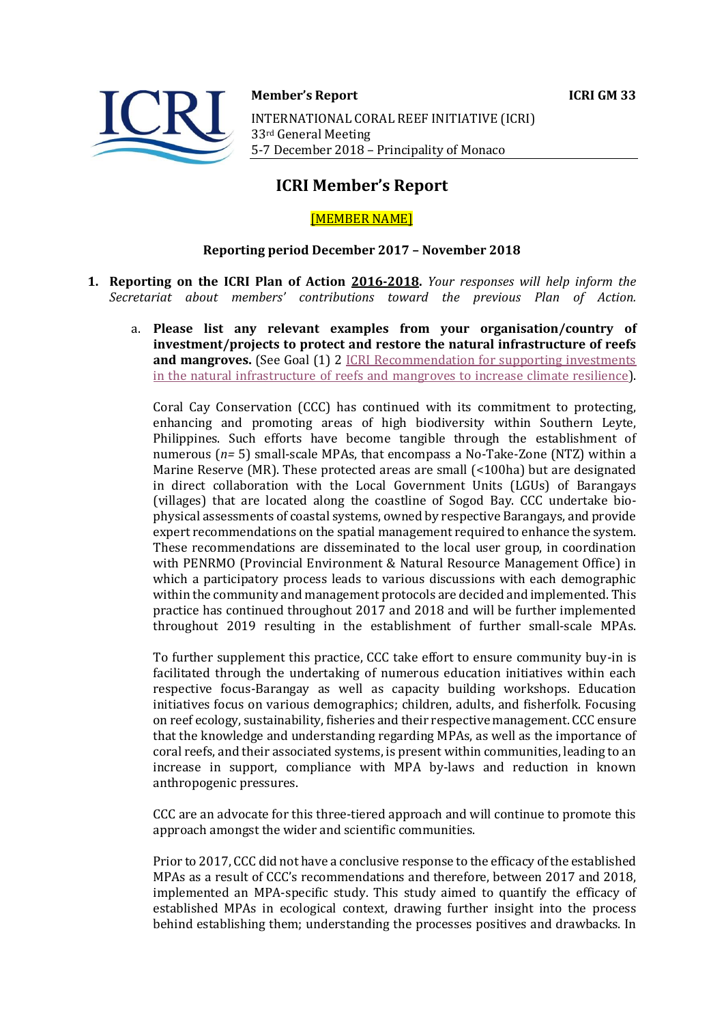



**Member's Report ICRI GM 33** 

INTERNATIONAL CORAL REEF INITIATIVE (ICRI) 33rd General Meeting 5-7 December 2018 – Principality of Monaco

# **ICRI Member's Report**

## [MEMBER NAME]

## **Reporting period December 2017 – November 2018**

- **1. Reporting on the ICRI Plan of Action 2016-2018.** *Your responses will help inform the Secretariat about members' contributions toward the previous Plan of Action.*
	- a. **Please list any relevant examples from your organisation/country of investment/projects to protect and restore the natural infrastructure of reefs**  and mangroves. (See Goal (1) 2 *ICRI Recommendation for supporting investments* [in the natural infrastructure of reefs and mangroves to increase climate resilience\)](https://www.icriforum.org/sites/default/files/ICRI-GM32_RECO_investments_natural_infrastructure-Final.pdf).

Coral Cay Conservation (CCC) has continued with its commitment to protecting, enhancing and promoting areas of high biodiversity within Southern Leyte, Philippines. Such efforts have become tangible through the establishment of numerous (*n=* 5) small-scale MPAs, that encompass a No-Take-Zone (NTZ) within a Marine Reserve (MR). These protected areas are small (<100ha) but are designated in direct collaboration with the Local Government Units (LGUs) of Barangays (villages) that are located along the coastline of Sogod Bay. CCC undertake biophysical assessments of coastal systems, owned by respective Barangays, and provide expert recommendations on the spatial management required to enhance the system. These recommendations are disseminated to the local user group, in coordination with PENRMO (Provincial Environment & Natural Resource Management Office) in which a participatory process leads to various discussions with each demographic within the community and management protocols are decided and implemented. This practice has continued throughout 2017 and 2018 and will be further implemented throughout 2019 resulting in the establishment of further small-scale MPAs.

To further supplement this practice, CCC take effort to ensure community buy-in is facilitated through the undertaking of numerous education initiatives within each respective focus-Barangay as well as capacity building workshops. Education initiatives focus on various demographics; children, adults, and fisherfolk. Focusing on reef ecology, sustainability, fisheries and their respective management. CCC ensure that the knowledge and understanding regarding MPAs, as well as the importance of coral reefs, and their associated systems, is present within communities, leading to an increase in support, compliance with MPA by-laws and reduction in known anthropogenic pressures.

CCC are an advocate for this three-tiered approach and will continue to promote this approach amongst the wider and scientific communities.

Prior to 2017, CCC did not have a conclusive response to the efficacy of the established MPAs as a result of CCC's recommendations and therefore, between 2017 and 2018, implemented an MPA-specific study. This study aimed to quantify the efficacy of established MPAs in ecological context, drawing further insight into the process behind establishing them; understanding the processes positives and drawbacks. In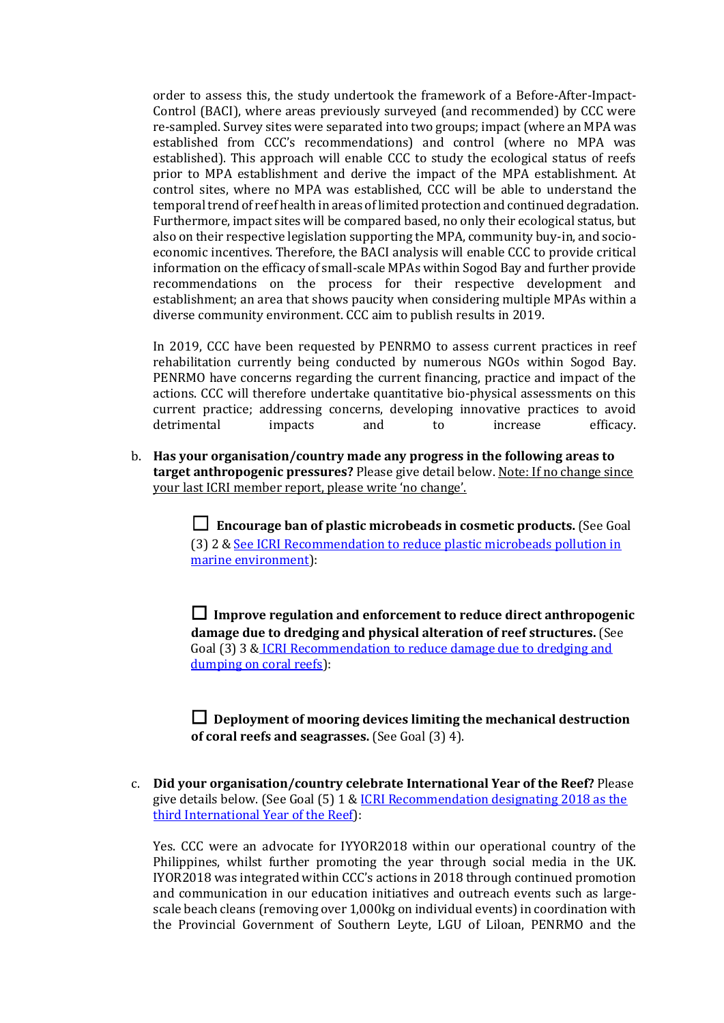order to assess this, the study undertook the framework of a Before-After-Impact-Control (BACI), where areas previously surveyed (and recommended) by CCC were re-sampled. Survey sites were separated into two groups; impact (where an MPA was established from CCC's recommendations) and control (where no MPA was established). This approach will enable CCC to study the ecological status of reefs prior to MPA establishment and derive the impact of the MPA establishment. At control sites, where no MPA was established, CCC will be able to understand the temporal trend of reef health in areas of limited protection and continued degradation. Furthermore, impact sites will be compared based, no only their ecological status, but also on their respective legislation supporting the MPA, community buy-in, and socioeconomic incentives. Therefore, the BACI analysis will enable CCC to provide critical information on the efficacy of small-scale MPAs within Sogod Bay and further provide recommendations on the process for their respective development and establishment; an area that shows paucity when considering multiple MPAs within a diverse community environment. CCC aim to publish results in 2019.

In 2019, CCC have been requested by PENRMO to assess current practices in reef rehabilitation currently being conducted by numerous NGOs within Sogod Bay. PENRMO have concerns regarding the current financing, practice and impact of the actions. CCC will therefore undertake quantitative bio-physical assessments on this current practice; addressing concerns, developing innovative practices to avoid detrimental impacts and to increase efficacy.

b. **Has your organisation/country made any progress in the following areas to target anthropogenic pressures?** Please give detail below. Note: If no change since your last ICRI member report, please write 'no change'.

> ☐ **Encourage ban of plastic microbeads in cosmetic products.** (See Goal (3) 2 [& See ICRI Recommendation to reduce plastic microbeads pollution in](https://www.icriforum.org/sites/default/files/ICRIGM31_Reco_microbeads_0.pdf)  [marine environment\)](https://www.icriforum.org/sites/default/files/ICRIGM31_Reco_microbeads_0.pdf):

> ☐ **Improve regulation and enforcement to reduce direct anthropogenic damage due to dredging and physical alteration of reef structures.** (See Goal (3) 3 & [ICRI Recommendation to reduce damage due to dredging and](https://www.icriforum.org/sites/default/files/ICRI-GM32_RECO_Dredging.pdf)  [dumping on coral reefs\)](https://www.icriforum.org/sites/default/files/ICRI-GM32_RECO_Dredging.pdf):

☐ **Deployment of mooring devices limiting the mechanical destruction of coral reefs and seagrasses.** (See Goal (3) 4).

c. **Did your organisation/country celebrate International Year of the Reef?** Please give details below. (See Goal (5) 1 [& ICRI Recommendation designating 2018 as the](https://www.icriforum.org/sites/default/files/ICRIGM31_Reco_IYOR2018_0.pdf)  [third International Year of the Reef\)](https://www.icriforum.org/sites/default/files/ICRIGM31_Reco_IYOR2018_0.pdf):

Yes. CCC were an advocate for IYYOR2018 within our operational country of the Philippines, whilst further promoting the year through social media in the UK. IYOR2018 was integrated within CCC's actions in 2018 through continued promotion and communication in our education initiatives and outreach events such as largescale beach cleans (removing over 1,000kg on individual events) in coordination with the Provincial Government of Southern Leyte, LGU of Liloan, PENRMO and the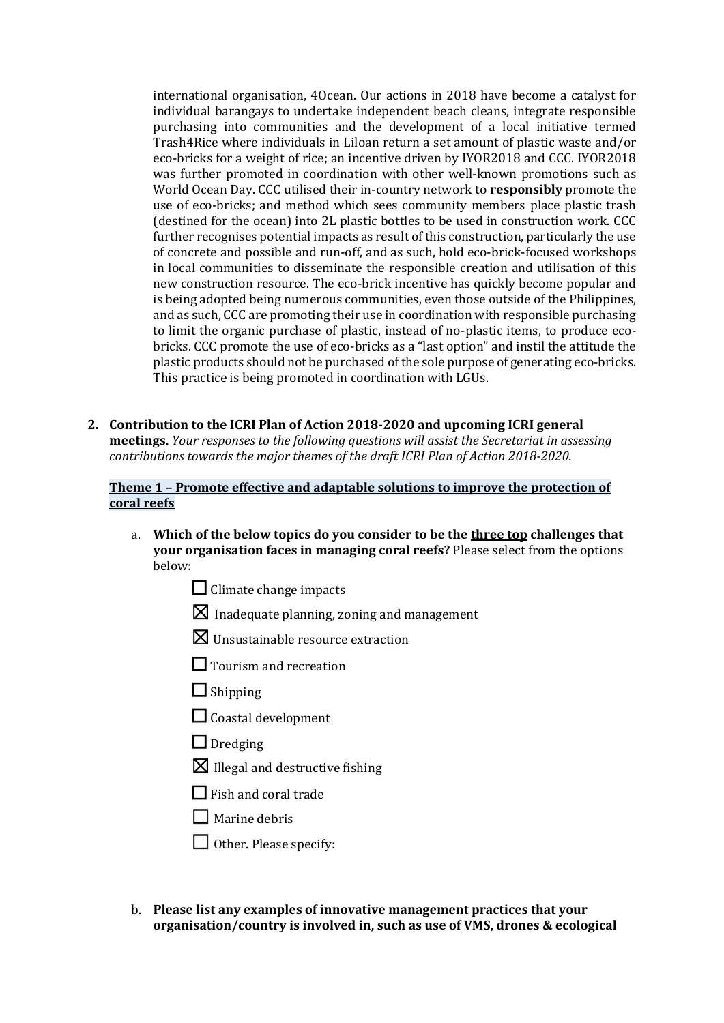international organisation, 4Ocean. Our actions in 2018 have become a catalyst for individual barangays to undertake independent beach cleans, integrate responsible purchasing into communities and the development of a local initiative termed Trash4Rice where individuals in Liloan return a set amount of plastic waste and/or eco-bricks for a weight of rice; an incentive driven by IYOR2018 and CCC. IYOR2018 was further promoted in coordination with other well-known promotions such as World Ocean Day. CCC utilised their in-country network to **responsibly** promote the use of eco-bricks; and method which sees community members place plastic trash (destined for the ocean) into 2L plastic bottles to be used in construction work. CCC further recognises potential impacts as result of this construction, particularly the use of concrete and possible and run-off, and as such, hold eco-brick-focused workshops in local communities to disseminate the responsible creation and utilisation of this new construction resource. The eco-brick incentive has quickly become popular and is being adopted being numerous communities, even those outside of the Philippines, and as such, CCC are promoting their use in coordination with responsible purchasing to limit the organic purchase of plastic, instead of no-plastic items, to produce ecobricks. CCC promote the use of eco-bricks as a "last option" and instil the attitude the plastic products should not be purchased of the sole purpose of generating eco-bricks. This practice is being promoted in coordination with LGUs.

**2. Contribution to the ICRI Plan of Action 2018-2020 and upcoming ICRI general meetings.** *Your responses to the following questions will assist the Secretariat in assessing contributions towards the major themes of the draft ICRI Plan of Action 2018-2020.*

## **Theme 1 – Promote effective and adaptable solutions to improve the protection of coral reefs**

- a. **Which of the below topics do you consider to be the three top challenges that your organisation faces in managing coral reefs?** Please select from the options below:
	- $\Box$  Climate change impacts
	- $\boxtimes$  Inadequate planning, zoning and management
	- ☒Unsustainable resource extraction
	- □ Tourism and recreation
	- $\Box$  Shipping
	- $\Box$  Coastal development
	- $\Box$  Dredging
	- $\boxtimes$  Illegal and destructive fishing
	- □ Fish and coral trade
	- $\Box$  Marine debris
	- $\Box$  Other. Please specify:
- b. **Please list any examples of innovative management practices that your organisation/country is involved in, such as use of VMS, drones & ecological**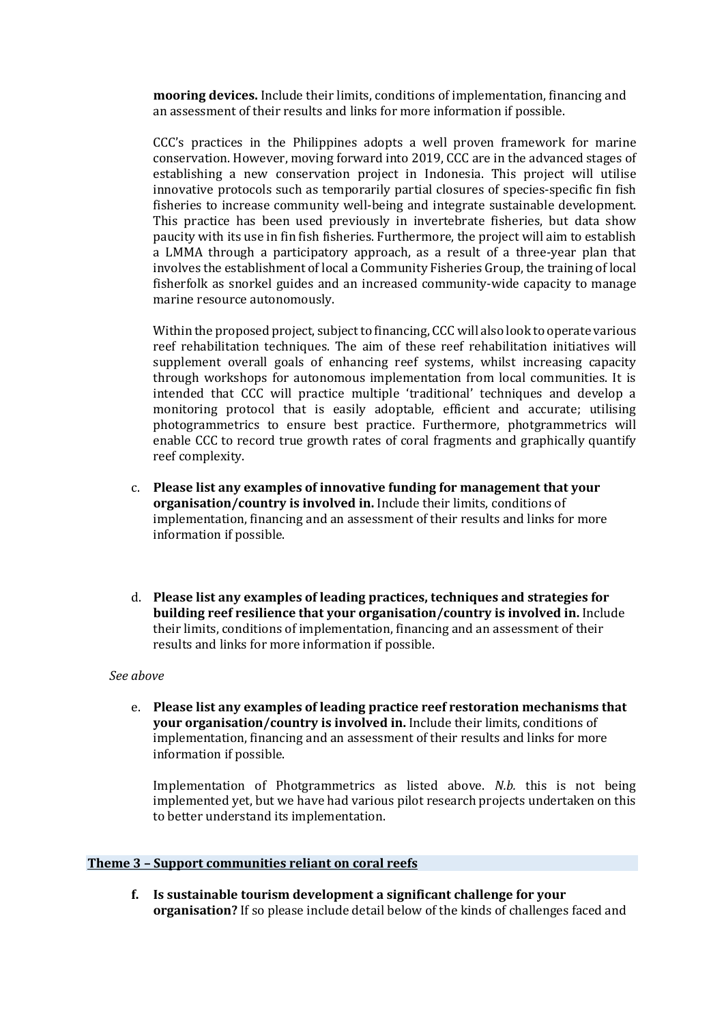**mooring devices.** Include their limits, conditions of implementation, financing and an assessment of their results and links for more information if possible.

CCC's practices in the Philippines adopts a well proven framework for marine conservation. However, moving forward into 2019, CCC are in the advanced stages of establishing a new conservation project in Indonesia. This project will utilise innovative protocols such as temporarily partial closures of species-specific fin fish fisheries to increase community well-being and integrate sustainable development. This practice has been used previously in invertebrate fisheries, but data show paucity with its use in fin fish fisheries. Furthermore, the project will aim to establish a LMMA through a participatory approach, as a result of a three-year plan that involves the establishment of local a Community Fisheries Group, the training of local fisherfolk as snorkel guides and an increased community-wide capacity to manage marine resource autonomously.

Within the proposed project, subject to financing, CCC will also look to operate various reef rehabilitation techniques. The aim of these reef rehabilitation initiatives will supplement overall goals of enhancing reef systems, whilst increasing capacity through workshops for autonomous implementation from local communities. It is intended that CCC will practice multiple 'traditional' techniques and develop a monitoring protocol that is easily adoptable, efficient and accurate; utilising photogrammetrics to ensure best practice. Furthermore, photgrammetrics will enable CCC to record true growth rates of coral fragments and graphically quantify reef complexity.

- c. **Please list any examples of innovative funding for management that your organisation/country is involved in.** Include their limits, conditions of implementation, financing and an assessment of their results and links for more information if possible.
- d. **Please list any examples of leading practices, techniques and strategies for building reef resilience that your organisation/country is involved in.** Include their limits, conditions of implementation, financing and an assessment of their results and links for more information if possible.

#### *See above*

e. **Please list any examples of leading practice reef restoration mechanisms that your organisation/country is involved in.** Include their limits, conditions of implementation, financing and an assessment of their results and links for more information if possible.

Implementation of Photgrammetrics as listed above. *N.b.* this is not being implemented yet, but we have had various pilot research projects undertaken on this to better understand its implementation.

#### **Theme 3 – Support communities reliant on coral reefs**

**f. Is sustainable tourism development a significant challenge for your organisation?** If so please include detail below of the kinds of challenges faced and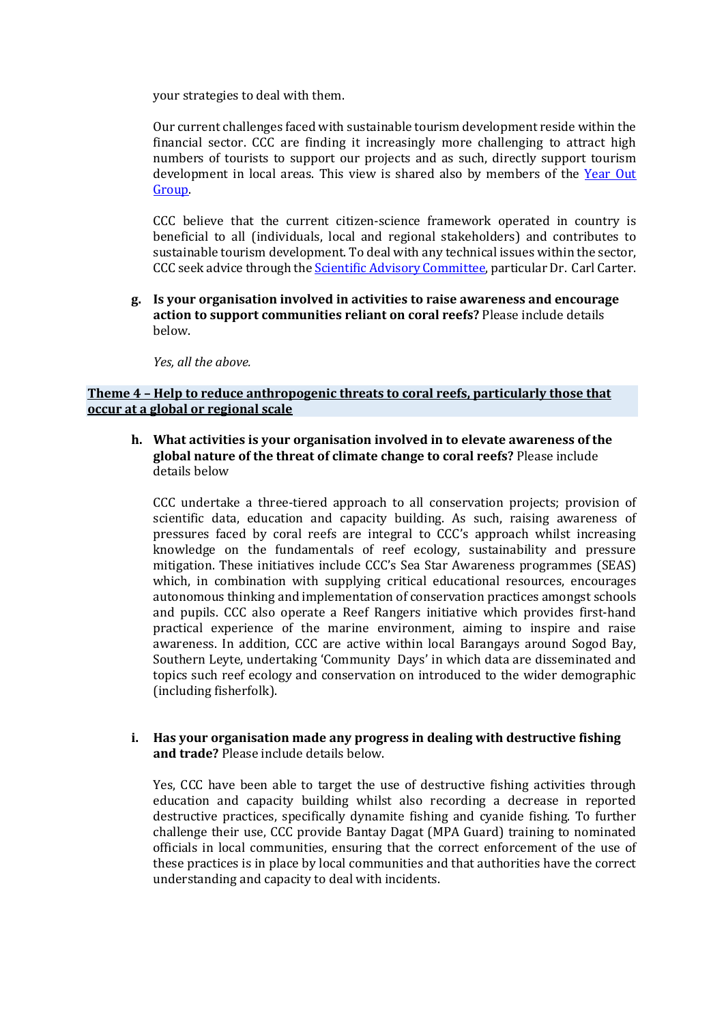your strategies to deal with them.

Our current challenges faced with sustainable tourism development reside within the financial sector. CCC are finding it increasingly more challenging to attract high numbers of tourists to support our projects and as such, directly support tourism development in local areas. This view is shared also by members of the [Year Out](https://yearoutgroup.org/)  [Group.](https://yearoutgroup.org/) 

CCC believe that the current citizen-science framework operated in country is beneficial to all (individuals, local and regional stakeholders) and contributes to sustainable tourism development. To deal with any technical issues within the sector, CCC seek advice through the **Scientific Advisory Committee**, particular Dr. Carl Carter.

#### **g. Is your organisation involved in activities to raise awareness and encourage action to support communities reliant on coral reefs?** Please include details below.

*Yes, all the above.*

## **Theme 4 – Help to reduce anthropogenic threats to coral reefs, particularly those that occur at a global or regional scale**

## **h. What activities is your organisation involved in to elevate awareness of the global nature of the threat of climate change to coral reefs?** Please include details below

CCC undertake a three-tiered approach to all conservation projects; provision of scientific data, education and capacity building. As such, raising awareness of pressures faced by coral reefs are integral to CCC's approach whilst increasing knowledge on the fundamentals of reef ecology, sustainability and pressure mitigation. These initiatives include CCC's Sea Star Awareness programmes (SEAS) which, in combination with supplying critical educational resources, encourages autonomous thinking and implementation of conservation practices amongst schools and pupils. CCC also operate a Reef Rangers initiative which provides first-hand practical experience of the marine environment, aiming to inspire and raise awareness. In addition, CCC are active within local Barangays around Sogod Bay, Southern Leyte, undertaking 'Community Days' in which data are disseminated and topics such reef ecology and conservation on introduced to the wider demographic (including fisherfolk).

## **i. Has your organisation made any progress in dealing with destructive fishing and trade?** Please include details below.

Yes, CCC have been able to target the use of destructive fishing activities through education and capacity building whilst also recording a decrease in reported destructive practices, specifically dynamite fishing and cyanide fishing. To further challenge their use, CCC provide Bantay Dagat (MPA Guard) training to nominated officials in local communities, ensuring that the correct enforcement of the use of these practices is in place by local communities and that authorities have the correct understanding and capacity to deal with incidents.